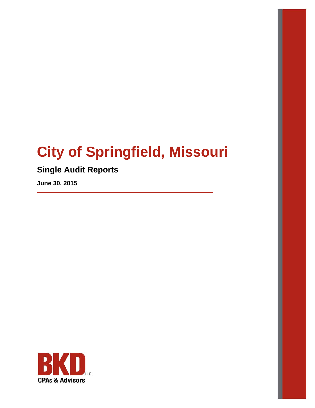# **City of Springfield, Missouri**

## **Single Audit Reports**

**June 30, 2015** 

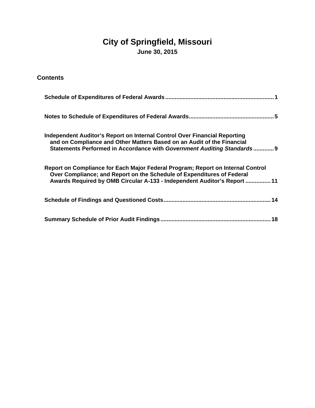# **City of Springfield, Missouri**

**June 30, 2015** 

### **Contents**

| Independent Auditor's Report on Internal Control Over Financial Reporting<br>and on Compliance and Other Matters Based on an Audit of the Financial<br>Statements Performed in Accordance with Government Auditing Standards 9       |
|--------------------------------------------------------------------------------------------------------------------------------------------------------------------------------------------------------------------------------------|
| Report on Compliance for Each Major Federal Program; Report on Internal Control<br>Over Compliance; and Report on the Schedule of Expenditures of Federal<br>Awards Required by OMB Circular A-133 - Independent Auditor's Report 11 |
| 14                                                                                                                                                                                                                                   |
| 18                                                                                                                                                                                                                                   |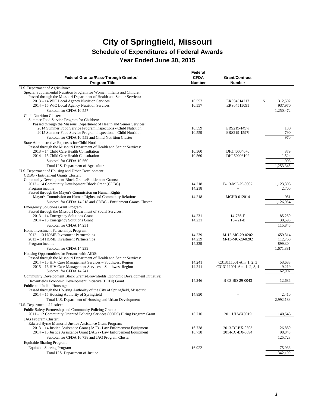### **City of Springfield, Missouri Schedule of Expenditures of Federal Awards**

### **Year Ended June 30, 2015**

| Federal Grantor/Pass-Through Grantor/<br><b>Program Title</b>                                                                                                                                                                                                                                                                              | Federal<br><b>CFDA</b><br><b>Number</b> | <b>Grant/Contract</b><br>Number                     |                               |
|--------------------------------------------------------------------------------------------------------------------------------------------------------------------------------------------------------------------------------------------------------------------------------------------------------------------------------------------|-----------------------------------------|-----------------------------------------------------|-------------------------------|
| U.S. Department of Agriculture:                                                                                                                                                                                                                                                                                                            |                                         |                                                     |                               |
| Special Supplemental Nutrition Program for Women, Infants and Children:<br>Passed through the Missouri Department of Health and Senior Services:<br>2013 - 14 WIC Local Agency Nutrition Services                                                                                                                                          | 10.557                                  | ERS04514217                                         | \$<br>312.502                 |
| 2014 – 15 WIC Local Agency Nutrition Services                                                                                                                                                                                                                                                                                              | 10.557                                  | ERS04515091                                         | 937,970                       |
| Subtotal for CFDA 10.557                                                                                                                                                                                                                                                                                                                   |                                         |                                                     | 1,250,472                     |
| Child Nutrition Cluster:<br>Summer Food Service Program for Children:<br>Passed through the Missouri Department of Health and Senior Services:<br>2014 Summer Food Service Program Inspections - Child Nutrition<br>2015 Summer Food Service Program Inspections - Child Nutrition<br>Subtotal for CFDA 10.559 and Child Nutrition Cluster | 10.559<br>10.559                        | ERS219-1497i<br>ERS219-1597i                        | 180<br>790<br>970             |
| State Administrative Expenses for Child Nutrition:                                                                                                                                                                                                                                                                                         |                                         |                                                     |                               |
| Passed through the Missouri Department of Health and Senior Services:<br>2013 - 14 Child Care Health Consultation<br>2014 - 15 Child Care Health Consultation                                                                                                                                                                              | 10.560<br>10.560                        | DH140004070<br>DH150008102                          | 379<br>1,524                  |
| Subtotal for CFDA 10.560                                                                                                                                                                                                                                                                                                                   |                                         |                                                     | 1,903<br>1,253,345            |
| Total U.S. Department of Agriculture<br>U.S. Department of Housing and Urban Development:<br><b>CDBG</b> - Entitlement Grants Cluster:<br>Community Development Block Grants/Entitlement Grants:                                                                                                                                           |                                         |                                                     |                               |
| 2013 - 14 Community Development Block Grant (CDBG)<br>Program income                                                                                                                                                                                                                                                                       | 14.218<br>14.218                        | B-13-MC-29-0007                                     | 1,123,303<br>2,700            |
| Passed through the Mayor's Commission on Human Rights:<br>Mayor's Commission on Human Rights and Community Relations                                                                                                                                                                                                                       | 14.218                                  | <b>MCHR 012014</b>                                  | 951                           |
| Subtotal for CFDA 14.218 and CDBG - Entitlement Grants Cluster                                                                                                                                                                                                                                                                             |                                         |                                                     | 1,126,954                     |
| <b>Emergency Solutions Grant Program:</b><br>Passed through the Missouri Department of Social Services:<br>2013 - 14 Emergency Solutions Grant<br>2014 – 15 Emergency Solutions Grant                                                                                                                                                      | 14.231<br>14.231                        | 14-756-E<br>15-721-E                                | 85,250<br>30,595              |
| Subtotal for CFDA 14.231                                                                                                                                                                                                                                                                                                                   |                                         |                                                     | 115,845                       |
| Home Investment Partnerships Program:<br>2012 - 13 HOME Investment Partnerships<br>2013 - 14 HOME Investment Partnerships<br>Program income                                                                                                                                                                                                | 14.239<br>14.239<br>14.239              | M-12-MC-29-0202<br>M-13-MC-29-0202                  | 659,314<br>112,763<br>899,304 |
| Subtotal for CFDA 14.239                                                                                                                                                                                                                                                                                                                   |                                         |                                                     | 1,671,381                     |
| Housing Opportunities for Persons with AIDS:<br>Passed through the Missouri Department of Health and Senior Services:<br>2014 - 15 HIV Case Management Services - Southwest Region<br>2015 – 16 HIV Case Management Services – Southwest Region<br>Subtotal for CFDA 14.241                                                                | 14.241<br>14.241                        | C313111001-Am. 1, 2, 3<br>C313111001-Am. 1, 2, 3, 4 | 53,688<br>9,219<br>62,907     |
| Community Development Block Grants/Brownfields Economic Development Initiative:                                                                                                                                                                                                                                                            |                                         |                                                     |                               |
| Brownfields Economic Development Initiative (BEDI) Grant<br>Public and Indian Housing:                                                                                                                                                                                                                                                     | 14.246                                  | B-03-BD-29-0043                                     | 12,686                        |
| Passed through the Housing Authority of the City of Springfield, Missouri:<br>2014 - 15 Housing Authority of Springfield<br>Total U.S. Department of Housing and Urban Development                                                                                                                                                         | 14.850                                  |                                                     | 2,410<br>2.992,183            |
| U.S. Department of Justice:                                                                                                                                                                                                                                                                                                                |                                         |                                                     |                               |
| Public Safety Partnership and Community Policing Grants:<br>2011 – 12 Community Oriented Policing Services (COPS) Hiring Program Grant                                                                                                                                                                                                     | 16.710                                  | 2011ULWX0019                                        | 140,543                       |
| <b>JAG Program Cluster:</b><br>Edward Byrne Memorial Justice Assistance Grant Program:<br>2013 – 14 Justice Assistance Grant (JAG) - Law Enforcement Equipment<br>2014 - 15 Justice Assistance Grant (JAG) - Law Enforcement Equipment                                                                                                     | 16.738<br>16.738                        | 2013-DJ-BX-0303<br>2014-DJ-BX-0094                  | 26,880<br>98,843              |
| Subtotal for CFDA 16.738 and JAG Program Cluster                                                                                                                                                                                                                                                                                           |                                         |                                                     | 125,723                       |
| Equitable Sharing Program:<br><b>Equitable Sharing Program</b><br>Total U.S. Department of Justice                                                                                                                                                                                                                                         | 16.922                                  |                                                     | 75,933<br>342,199             |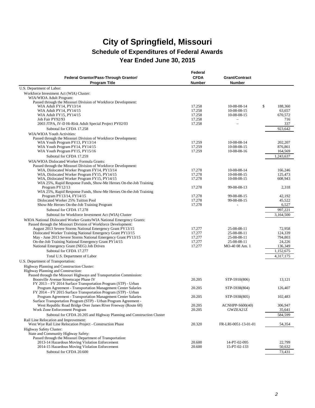### **City of Springfield, Missouri Schedule of Expenditures of Federal Awards**

### **Year Ended June 30, 2015**

| Federal Grantor/Pass-Through Grantor/<br><b>Program Title</b>                                                                     | Federal<br><b>CFDA</b><br><b>Number</b> | <b>Grant/Contract</b><br>Number |                   |
|-----------------------------------------------------------------------------------------------------------------------------------|-----------------------------------------|---------------------------------|-------------------|
| U.S. Department of Labor:                                                                                                         |                                         |                                 |                   |
| Workforce Investment Act (WIA) Cluster:                                                                                           |                                         |                                 |                   |
| WIA/WIOA Adult Program:                                                                                                           |                                         |                                 |                   |
| Passed through the Missouri Division of Workforce Development:                                                                    |                                         |                                 |                   |
| WIA Adult FY14, PY13/14                                                                                                           | 17.258                                  | 10-08-08-14                     | \$<br>188,360     |
| WIA Adult PY14, PY14/15                                                                                                           | 17.258                                  | 10-08-08-15                     | 63,657            |
| WIA Adult FY15, PY14/15                                                                                                           | 17.258                                  | 10-08-08-15                     | 670,572           |
| Job Fair PY92/93                                                                                                                  | 17.258                                  |                                 | 716               |
| 2003 JTPA, IV-D Hi-Risk Adult Special Project PY02/03                                                                             | 17.258                                  |                                 | 337               |
| Subtotal for CFDA 17.258                                                                                                          |                                         |                                 | 923,642           |
| WIA/WIOA Youth Activities:                                                                                                        |                                         |                                 |                   |
| Passed through the Missouri Division of Workforce Development:<br>WIA Youth Program PY13, PY13/14                                 | 17.259                                  | 10-08-08-14                     | 202,207           |
| WIA Youth Program PY14, PY14/15                                                                                                   | 17.259                                  | 10-08-08-15                     | 876,861           |
| WIA Youth Program PY15, PY15/16                                                                                                   | 17.259                                  | 10-08-08-16                     | 164,569           |
| Subtotal for CFDA 17.259                                                                                                          |                                         |                                 | 1,243,637         |
| WIA/WIOA Dislocated Worker Formula Grants:                                                                                        |                                         |                                 |                   |
| Passed through the Missouri Division of Workforce Development:                                                                    |                                         |                                 |                   |
| WIA, Dislocated Worker Program FY14, PY13/14                                                                                      | 17.278                                  | 10-08-08-14                     | 166,246           |
| WIA, Dislocated Worker Program FY15, PY14/15                                                                                      | 17.278                                  | 10-08-08-15                     | 125,473           |
| WIA, Dislocated Worker Program FY15, PY14/15                                                                                      | 17.278                                  | 10-08-08-15                     | 608,943           |
| WIA 25%, Rapid Response Funds, Show-Me Heroes On-the-Job Training                                                                 |                                         |                                 |                   |
| Program PY12/13<br>WIA 25%, Rapid Response Funds, Show-Me Heroes On-the-Job Training                                              | 17.278                                  | 99-08-08-13                     | 2,318             |
| Program PY13/14, FY14/15                                                                                                          | 17.278                                  | 99-08-08-15                     | 42.192            |
| Dislocated Worker 25% Tuition Pool                                                                                                | 17.278                                  | 99-08-08-15                     | 45,522            |
| Show-Me Heroes On-the-Job Training Program                                                                                        | 17.278                                  |                                 | 6,527             |
| Subtotal for CFDA 17.278                                                                                                          |                                         |                                 | 997,221           |
| Subtotal for Workforce Investment Act (WIA) Cluster                                                                               |                                         |                                 | 3.164.500         |
| WIOA National Dislocated Worker Grants/WIA National Emergency Grants:                                                             |                                         |                                 |                   |
| Passed through the Missouri Division of Workforce Development:                                                                    |                                         |                                 |                   |
| August 2013 Severe Storms National Emergency Grant PY13/15                                                                        | 17.277                                  | 25-08-08-11                     | 72,958            |
| Dislocated Worker Training National Emergency Grant PY13/15                                                                       | 17.277                                  | 25-08-08-11                     | 124,339           |
| May - June 2013 Severe Storms National Emergency Grant PY13/15                                                                    | 17.277                                  | 25-08-08-11                     | 794,803           |
| On-the-Job Training National Emergency Grant PY14/15<br>National Emergency Grant (NEG) Job Driven                                 | 17.277<br>17.277                        | 25-08-08-11<br>MO-40 08 Am. 1   | 24,226<br>136,349 |
| Subtotal for CFDA 17.277                                                                                                          |                                         |                                 | 1,152,675         |
|                                                                                                                                   |                                         |                                 | 4,317,175         |
| Total U.S. Department of Labor                                                                                                    |                                         |                                 |                   |
| U.S. Department of Transportation:<br>Highway Planning and Construction Cluster:                                                  |                                         |                                 |                   |
| Highway Planning and Construction:                                                                                                |                                         |                                 |                   |
| Passed through the Missouri Highways and Transportation Commission:                                                               |                                         |                                 |                   |
| Boonville Avenue Streetscape Phase IV                                                                                             | 20.205                                  | STP-5910(806)                   | 13,121            |
| FY 2013 - FY 2014 Surface Transportation Program (STP) - Urban                                                                    |                                         |                                 |                   |
| Program Agreement - Transportation Management Center Salaries                                                                     | 20.205                                  | STP-5938(804)                   | 126,407           |
| FY 2014 - FY 2015 Surface Transportation Program (STP) - Urban                                                                    |                                         |                                 |                   |
| Program Agreement - Transportation Management Center Salaries                                                                     | 20.205                                  | STP-5938(805)                   | 102,483           |
| Surface Transportation Program (STP) - Urban Program Agreement -<br>West Republic Road Bridge Over James River Freeway (Route 60) | 20.205                                  | ACNHPP-S600(40)                 | 306,947           |
| Work Zone Enforcement Program                                                                                                     | 20.205                                  | GWZEA21Z                        | 35,641            |
| Subtotal for CFDA 20.205 and Highway Planning and Construction Cluster                                                            |                                         |                                 | 584,599           |
| Rail Line Relocation and Improvement:                                                                                             |                                         |                                 |                   |
| West Wye Rail Line Relocation Project - Construction Phase                                                                        | 20.320                                  | FR-LRI-0051-13-01-01            | 54,354            |
| Highway Safety Cluster:                                                                                                           |                                         |                                 |                   |
| State and Community Highway Safety:                                                                                               |                                         |                                 |                   |
| Passed through the Missouri Department of Transportation:                                                                         |                                         |                                 |                   |
| 2013-14 Hazardous Moving Violation Enforcement                                                                                    | 20.600                                  | 14-PT-02-095                    | 22,799            |
| 2014-15 Hazardous Moving Violation Enforcement                                                                                    | 20.600                                  | 15-PT-02-133                    | 50,632            |
| Subtotal for CFDA 20.600                                                                                                          |                                         |                                 | 73,431            |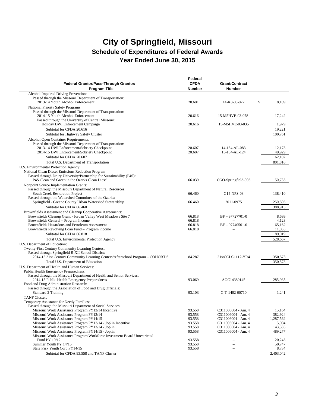| Federal Grantor/Pass-Through Grantor/<br><b>Program Title</b>                                                           | Federal<br><b>CFDA</b><br><b>Number</b> | <b>Grant/Contract</b><br><b>Number</b> |             |
|-------------------------------------------------------------------------------------------------------------------------|-----------------------------------------|----------------------------------------|-------------|
| Alcohol Impaired Driving Prevention:                                                                                    |                                         |                                        |             |
| Passed through the Missouri Department of Transportation:                                                               |                                         |                                        |             |
| 2013-14 Youth Alcohol Enforcement                                                                                       | 20.601                                  | 14-K8-03-077                           | \$<br>8,109 |
| National Priority Safety Programs:                                                                                      |                                         |                                        |             |
| Passed through the Missouri Department of Transportation:                                                               |                                         |                                        |             |
| 2014-15 Youth Alcohol Enforcement                                                                                       | 20.616                                  | 15-M5HVE-03-078                        | 17,242      |
| Passed through the University of Central Missouri:                                                                      |                                         |                                        |             |
| Holiday DWI Enforcement Campaign                                                                                        | 20.616                                  | 15-M5HVE-03-035                        | 1,979       |
| Subtotal for CFDA 20.616                                                                                                |                                         |                                        | 19.221      |
| Subtotal for Highway Safety Cluster                                                                                     |                                         |                                        | 100,761     |
| Alcohol Open Container Requirements:                                                                                    |                                         |                                        |             |
| Passed through the Missouri Department of Transportation:                                                               |                                         |                                        |             |
| 2013-14 DWI Enforcement/Sobriety Checkpoint                                                                             | 20.607                                  | 14-154-AL-083                          | 12,173      |
| 2014-15 DWI Enforcement/Sobriety Checkpoint                                                                             | 20.607                                  | 15-154-AL-124                          | 49,929      |
| Subtotal for CFDA 20.607                                                                                                |                                         |                                        | 62,102      |
| Total U.S. Department of Transportation                                                                                 |                                         |                                        | 801,816     |
| U.S. Environmental Protection Agency:                                                                                   |                                         |                                        |             |
| National Clean Diesel Emissions Reduction Program                                                                       |                                         |                                        |             |
| Passed through Drury University/Partnership for Sustainability (P4S):<br>P4S Clean and Green in the Ozarks Clean Diesel |                                         |                                        |             |
|                                                                                                                         | 66.039                                  | CGO-Springfield-003                    | 50,733      |
| Nonpoint Source Implementation Grants:                                                                                  |                                         |                                        |             |
| Passed through the Missouri Department of Natural Resources:<br>South Creek Restoration Project                         | 66.460                                  | G14-NPS-03                             | 138,410     |
| Passed through the Watershed Committee of the Ozarks:                                                                   |                                         |                                        |             |
| Springfield - Greene County Urban Watershed Stewardship                                                                 | 66.460                                  | 2011-0975                              | 250,505     |
| Subtotal for CFDA 66.460                                                                                                |                                         |                                        | 388,915     |
| Brownfields Assessment and Cleanup Cooperative Agreements:                                                              |                                         |                                        |             |
| Brownfields Cleanup Grant - Jordan Valley West Meadows Site 7                                                           | 66.818                                  | BF-97727701-0                          | 8,699       |
| Brownfields General - Program Income                                                                                    | 66.818                                  |                                        | 4,123       |
| Brownfields Hazardous and Petroleum Assessment                                                                          | 66.818                                  | BF-97740501-0                          | 65,162      |
| Brownfields Revolving Loan Fund - Program income                                                                        | 66.818                                  |                                        | 11,035      |
| Subtotal for CFDA 66.818                                                                                                |                                         |                                        | 89,019      |
| Total U.S. Environmental Protection Agency                                                                              |                                         |                                        | 528,667     |
| U.S. Department of Education:                                                                                           |                                         |                                        |             |
| Twenty-First Century Community Learning Centers:                                                                        |                                         |                                        |             |
| Passed through Springfield R-XII School District:                                                                       |                                         |                                        |             |
| 2014-15 21st Century Community Learning Centers/Afterschool Program - COHORT 6                                          | 84.287                                  | 21stCCLC1112-YR4                       | 350,573     |
| Total U.S. Department of Education                                                                                      |                                         |                                        | 350,573     |
| U.S. Department of Health and Human Services:                                                                           |                                         |                                        |             |
| Public Health Emergency Preparedness:                                                                                   |                                         |                                        |             |
| Passed through the Missouri Department of Health and Senior Services:                                                   |                                         |                                        |             |
| 2014-15 Public Health Emergency Preparedness                                                                            | 93.069                                  | AOC14380145                            | 285,935     |
| Food and Drug Administration Research:                                                                                  |                                         |                                        |             |
| Passed through the Association of Food and Drug Officials:                                                              |                                         |                                        |             |
| Standard 2 Training                                                                                                     | 93.103                                  | G-T-1402-00710                         | 1,241       |
| <b>TANF Cluster:</b>                                                                                                    |                                         |                                        |             |
| Temporary Assistance for Needy Families:<br>Passed through the Missouri Department of Social Services:                  |                                         |                                        |             |
| Missouri Work Assistance Program PY13/14 Incentive                                                                      | 93.558                                  | C311006004 - Am. 4                     | 15,164      |
| Missouri Work Assistance Program FY13/14                                                                                | 93.558                                  | C311006004 - Am. 4                     | 382,924     |
| Missouri Work Assistance Program PY14/15                                                                                | 93.558                                  | C311006004 - Am. 4                     | 1,287,562   |
| Missouri Work Assistance Program PY13/14 - Joplin Incentive                                                             | 93.558                                  | C311006004 - Am. 4                     | 5,004       |
| Missouri Work Assistance Program PY13/14 - Joplin                                                                       | 93.558                                  | C311006004 - Am. 4                     | 143,385     |
| Missouri Work Assistance Program PY14/15 - Joplin                                                                       | 93.558                                  | C311006004 - Am. 4                     | 489,277     |
| Missouri Work Assistance Program Workforce Investment Board Unrestricted                                                |                                         |                                        |             |
| Fund PY 10/12                                                                                                           | 93.558                                  |                                        | 20,245      |
| Summer Youth PY 14/15                                                                                                   | 93.558                                  |                                        | 50,747      |
| State Park Youth Corp PY14/15                                                                                           | 93.558                                  |                                        | 8,734       |
| Subtotal for CFDA 93.558 and TANF Cluster                                                                               |                                         |                                        | 2,403,042   |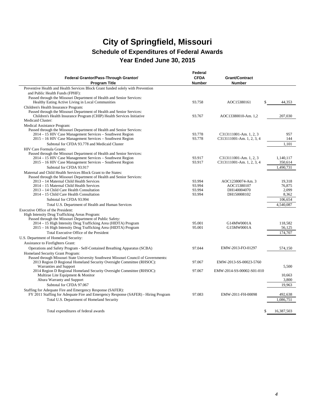| Federal Grantor/Pass-Through Grantor/                                                                                                                                                                                                                                                | Federal<br><b>CFDA</b> | <b>Grant/Contract</b>     |                   |
|--------------------------------------------------------------------------------------------------------------------------------------------------------------------------------------------------------------------------------------------------------------------------------------|------------------------|---------------------------|-------------------|
| <b>Program Title</b>                                                                                                                                                                                                                                                                 | <b>Number</b>          | <b>Number</b>             |                   |
| Preventive Health and Health Services Block Grant funded solely with Prevention                                                                                                                                                                                                      |                        |                           |                   |
| and Public Health Funds (FPHF):                                                                                                                                                                                                                                                      |                        |                           |                   |
| Passed through the Missouri Department of Health and Senior Services:<br>Healthy Eating Active Living in Local Communities                                                                                                                                                           | 93.758                 | AOC15380161               | \$<br>44.353      |
| Children's Health Insurance Program:                                                                                                                                                                                                                                                 |                        |                           |                   |
| Passed through the Missouri Department of Health and Senior Services:<br>Children's Health Insurance Program (CHIP) Health Services Initiative<br>Medicaid Cluster:                                                                                                                  | 93.767                 | AOC13380010-Am. 1.2       | 207,030           |
| Medical Assistance Program:                                                                                                                                                                                                                                                          |                        |                           |                   |
| Passed through the Missouri Department of Health and Senior Services:<br>2014 – 15 HIV Case Management Services – Southwest Region                                                                                                                                                   | 93.778                 | C313111001-Am. 1, 2, 3    | 957               |
| 2015 – 16 HIV Case Management Services – Southwest Region                                                                                                                                                                                                                            | 93.778                 | C313111001-Am. 1, 2, 3, 4 | 144               |
| Subtotal for CFDA 93.778 and Medicaid Cluster                                                                                                                                                                                                                                        |                        |                           | 1.101             |
| <b>HIV Care Formula Grants:</b><br>Passed through the Missouri Department of Health and Senior Services:<br>2014 – 15 HIV Case Management Services – Southwest Region                                                                                                                | 93.917                 | C313111001-Am. 1, 2, 3    | 1.140.117         |
| 2015 - 16 HIV Case Management Services - Southwest Region                                                                                                                                                                                                                            | 93.917                 | C313111001-Am. 1, 2, 3, 4 | 350,614           |
| Subtotal for CFDA 93.917                                                                                                                                                                                                                                                             |                        |                           | 1,490,731         |
| Maternal and Child Health Services Block Grant to the States:                                                                                                                                                                                                                        |                        |                           |                   |
| Passed through the Missouri Department of Health and Senior Services:                                                                                                                                                                                                                |                        |                           |                   |
| 2013 - 14 Maternal Child Health Services                                                                                                                                                                                                                                             | 93.994                 | AOC12380074-Am. 3         | 19,318            |
| 2014 - 15 Maternal Child Health Services                                                                                                                                                                                                                                             | 93.994                 | AOC15380107               | 76,875            |
| 2013 – 14 Child Care Health Consultation                                                                                                                                                                                                                                             | 93.994                 | DH140004070               | 2.099             |
| 2014 – 15 Child Care Health Consultation                                                                                                                                                                                                                                             | 93.994                 | DH150008102               | 8,362             |
| Subtotal for CFDA 93.994                                                                                                                                                                                                                                                             |                        |                           | 106,654           |
| Total U.S. Department of Health and Human Services                                                                                                                                                                                                                                   |                        |                           | 4,540,087         |
| Executive Office of the President:<br>High Intensity Drug Trafficking Areas Program:<br>Passed through the Missouri Department of Public Safety:<br>2014 – 15 High Intensity Drug Trafficking Area (HIDTA) Program<br>2015 – 16 High Intensity Drug Trafficking Area (HIDTA) Program | 95.001<br>95.001       | G14MW0001A<br>G15MW0001A  | 118,582<br>56,125 |
| Total Executive Office of the President                                                                                                                                                                                                                                              |                        |                           | 174,707           |
| U.S. Department of Homeland Security:                                                                                                                                                                                                                                                |                        |                           |                   |
| Assistance to Firefighters Grant:                                                                                                                                                                                                                                                    |                        |                           |                   |
| Operations and Safety Program - Self-Contained Breathing Apparatus (SCBA)                                                                                                                                                                                                            | 97.044                 | EMW-2013-FO-01297         | 574,150           |
| Homeland Security Grant Program:<br>Passed through Missouri State University Southwest Missouri Council of Governments:<br>2013 Region D Regional Homeland Security Oversight Committee (RHSOC):                                                                                     | 97.067                 | EMW-2013-SS-00023-5760    |                   |
| Warranties and Support                                                                                                                                                                                                                                                               |                        |                           | 5,500             |
| 2014 Region D Regional Homeland Security Oversight Committee (RHSOC):<br>Multirae Lite Equipment & Monitor<br>Ahura Warranty and Support                                                                                                                                             | 97.067                 | EMW-2014-SS-00002-S01-010 | 10,663<br>3,800   |
| Subtotal for CFDA 97.067                                                                                                                                                                                                                                                             |                        |                           | 19.963            |
| Staffing for Adequate Fire and Emergency Response (SAFER):                                                                                                                                                                                                                           |                        |                           |                   |
| FY 2011 Staffing for Adequate Fire and Emergency Response (SAFER) - Hiring Program                                                                                                                                                                                                   | 97.083                 | EMW-2011-FH-00098         | 492,638           |
| Total U.S. Department of Homeland Security                                                                                                                                                                                                                                           |                        |                           | 1,086,751         |
| Total expenditures of federal awards                                                                                                                                                                                                                                                 |                        |                           | \$<br>16,387,503  |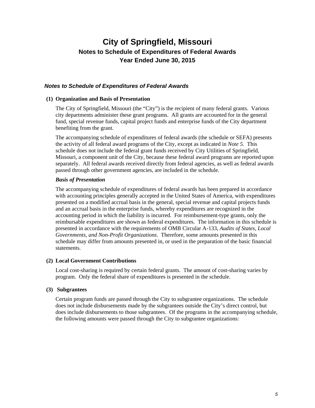#### *Notes to Schedule of Expenditures of Federal Awards*

#### **(1) Organization and Basis of Presentation**

The City of Springfield, Missouri (the "City") is the recipient of many federal grants. Various city departments administer these grant programs. All grants are accounted for in the general fund, special revenue funds, capital project funds and enterprise funds of the City department benefiting from the grant.

The accompanying schedule of expenditures of federal awards (the schedule or SEFA) presents the activity of all federal award programs of the City, except as indicated in *Note 5*. This schedule does not include the federal grant funds received by City Utilities of Springfield, Missouri, a component unit of the City, because these federal award programs are reported upon separately. All federal awards received directly from federal agencies, as well as federal awards passed through other government agencies, are included in the schedule.

#### *Basis of Presentation*

The accompanying schedule of expenditures of federal awards has been prepared in accordance with accounting principles generally accepted in the United States of America, with expenditures presented on a modified accrual basis in the general, special revenue and capital projects funds and an accrual basis in the enterprise funds, whereby expenditures are recognized in the accounting period in which the liability is incurred. For reimbursement-type grants, only the reimbursable expenditures are shown as federal expenditures. The information in this schedule is presented in accordance with the requirements of OMB Circular A-133, *Audits of States, Local Governments, and Non-Profit Organizations*. Therefore, some amounts presented in this schedule may differ from amounts presented in, or used in the preparation of the basic financial statements.

#### **(2) Local Government Contributions**

Local cost-sharing is required by certain federal grants. The amount of cost-sharing varies by program. Only the federal share of expenditures is presented in the schedule.

#### **(3) Subgrantees**

Certain program funds are passed through the City to subgrantee organizations. The schedule does not include disbursements made by the subgrantees outside the City's direct control, but does include disbursements to those subgrantees. Of the programs in the accompanying schedule, the following amounts were passed through the City to subgrantee organizations: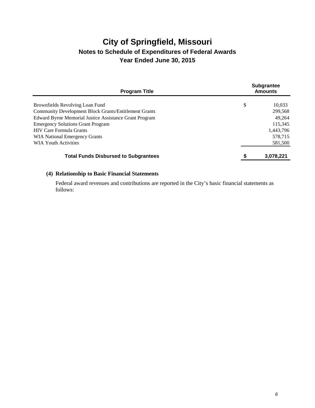| <b>Program Title</b>                                         |    | <b>Subgrantee</b><br><b>Amounts</b> |
|--------------------------------------------------------------|----|-------------------------------------|
|                                                              |    |                                     |
| Brownfields Revolving Loan Fund                              | \$ | 10,033                              |
| <b>Community Development Block Grants/Entitlement Grants</b> |    | 299,568                             |
| Edward Byrne Memorial Justice Assistance Grant Program       |    | 49,264                              |
| <b>Emergency Solutions Grant Program</b>                     |    | 115,345                             |
| <b>HIV Care Formula Grants</b>                               |    | 1,443,796                           |
| <b>WIA National Emergency Grants</b>                         |    | 578,715                             |
| <b>WIA Youth Activities</b>                                  |    | 581,500                             |
| <b>Total Funds Disbursed to Subgrantees</b>                  | S  | 3,078,221                           |

#### **(4) Relationship to Basic Financial Statements**

Federal award revenues and contributions are reported in the City's basic financial statements as follows: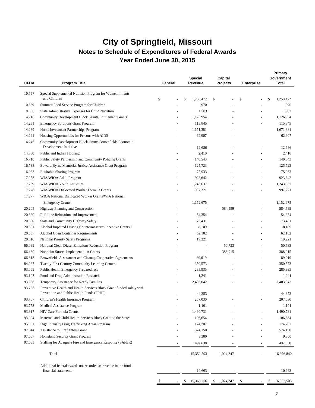|             |                                                                                                                   |                          |                          |                     |                   | Primary                    |
|-------------|-------------------------------------------------------------------------------------------------------------------|--------------------------|--------------------------|---------------------|-------------------|----------------------------|
| <b>CFDA</b> | <b>Program Title</b>                                                                                              | General                  | Special<br>Revenue       | Capital<br>Projects | <b>Enterprise</b> | Government<br><b>Total</b> |
|             |                                                                                                                   |                          |                          |                     |                   |                            |
| 10.557      | Special Supplemental Nutrition Program for Women, Infants<br>and Children                                         | \$                       | \$<br>1,250,472          | \$                  | \$                | \$<br>1,250,472            |
| 10.559      | Summer Food Service Program for Children                                                                          |                          | 970                      |                     |                   | 970                        |
| 10.560      | State Administrative Expenses for Child Nutrition                                                                 |                          | 1,903                    |                     |                   | 1,903                      |
| 14.218      | Community Development Block Grants/Entitlement Grants                                                             |                          | 1,126,954                |                     | $\overline{a}$    | 1,126,954                  |
| 14.231      | <b>Emergency Solutions Grant Program</b>                                                                          |                          | 115,845                  |                     | L,                | 115,845                    |
| 14.239      | Home Investment Partnerships Program                                                                              |                          | 1,671,381                |                     |                   | 1,671,381                  |
| 14.241      | Housing Opportunities for Persons with AIDS                                                                       |                          | 62,907                   |                     |                   | 62,907                     |
| 14.246      | Community Development Block Grants/Brownfields Economic<br>Development Initiative                                 |                          | 12,686                   |                     |                   | 12,686                     |
| 14.850      | Public and Indian Housing                                                                                         |                          | 2,410                    |                     |                   | 2,410                      |
| 16.710      | Public Safety Partnership and Community Policing Grants                                                           | ٠                        | 140,543                  |                     | $\overline{a}$    | 140,543                    |
| 16.738      | Edward Byrne Memorial Justice Assistance Grant Program                                                            |                          | 125,723                  |                     | $\overline{a}$    | 125,723                    |
| 16.922      | <b>Equitable Sharing Program</b>                                                                                  |                          | 75,933                   |                     |                   | 75,933                     |
| 17.258      | WIA/WIOA Adult Program                                                                                            |                          | 923,642                  |                     | ÷,                | 923,642                    |
| 17.259      | WIA/WIOA Youth Activities                                                                                         |                          | 1,243,637                |                     | $\overline{a}$    | 1,243,637                  |
| 17.278      | WIA/WIOA Dislocated Worker Formula Grants                                                                         |                          | 997,221                  |                     |                   | 997,221                    |
| 17.277      | WIOA National Dislocated Worker Grants/WIA National                                                               |                          |                          |                     |                   |                            |
|             | <b>Emergency Grants</b>                                                                                           |                          | 1,152,675                |                     |                   | 1,152,675                  |
| 20.205      | Highway Planning and Construction                                                                                 |                          | $\overline{\phantom{a}}$ | 584,599             | ٠                 | 584,599                    |
| 20.320      | Rail Line Relocation and Improvement                                                                              |                          | 54,354                   |                     |                   | 54,354                     |
| 20.600      | State and Community Highway Safety                                                                                | ÷,                       | 73,431                   |                     |                   | 73,431                     |
| 20.601      | Alcohol Impaired Driving Countermeasures Incentive Grants I                                                       |                          | 8,109                    |                     |                   | 8,109                      |
| 20.607      | Alcohol Open Container Requirements                                                                               |                          | 62,102                   |                     | L,                | 62,102                     |
| 20.616      | National Priority Safety Programs                                                                                 |                          | 19,221                   |                     |                   | 19,221                     |
| 66.039      | National Clean Diesel Emissions Reduction Program                                                                 | L,                       | $\bar{\phantom{a}}$      | 50,733              | $\overline{a}$    | 50,733                     |
| 66.460      | Nonpoint Source Implementation Grants                                                                             |                          | $\frac{1}{2}$            | 388,915             | ä,                | 388,915                    |
| 66.818      | Brownfields Assessment and Cleanup Cooperative Agreements                                                         |                          | 89,019                   |                     | ä,                | 89,019                     |
| 84.287      | Twenty-First Century Community Learning Centers                                                                   |                          | 350,573                  |                     |                   | 350,573                    |
| 93.069      | Public Health Emergency Preparedness                                                                              |                          | 285,935                  |                     | $\overline{a}$    | 285,935                    |
| 93.103      | Food and Drug Administration Research                                                                             |                          | 1,241                    |                     | ä,                | 1,241                      |
| 93.558      | Temporary Assistance for Needy Families                                                                           |                          | 2,403,042                |                     | L,                | 2,403,042                  |
| 93.758      | Preventive Health and Health Services Block Grant funded solely with<br>Prevention and Public Health Funds (FPHF) |                          | 44,353                   |                     |                   | 44,353                     |
| 93.767      | Children's Health Insurance Program                                                                               | $\overline{a}$           | 207,030                  |                     |                   | 207,030                    |
| 93.778      | Medical Assistance Program                                                                                        | $\overline{\phantom{a}}$ | 1,101                    |                     |                   | 1,101                      |
| 93.917      | HIV Care Formula Grants                                                                                           |                          | 1,490,731                |                     |                   | 1,490,731                  |
| 93.994      | Maternal and Child Health Services Block Grant to the States                                                      |                          | 106,654                  |                     |                   | 106,654                    |
| 95.001      | High Intensity Drug Trafficking Areas Program                                                                     |                          | 174,707                  |                     |                   | 174,707                    |
| 97.044      | Assistance to Firefighters Grant                                                                                  |                          | 574,150                  |                     |                   | 574,150                    |
| 97.067      | Homeland Security Grant Program                                                                                   |                          | 9,300                    |                     |                   | 9,300                      |
| 97.083      | Staffing for Adequate Fire and Emergency Response (SAFER)                                                         |                          |                          |                     |                   |                            |
|             |                                                                                                                   |                          | 492,638                  |                     |                   | 492,638                    |
|             | Total                                                                                                             |                          | 15,352,593               | 1,024,247           |                   | 16,376,840                 |
|             | Additional federal awards not recorded as revenue in the fund<br>financial statements                             |                          | 10,663                   |                     |                   | 10,663                     |
|             |                                                                                                                   | \$                       | 15,363,256<br>\$         | \$1,024,247         | -\$               | 16,387,503<br>\$           |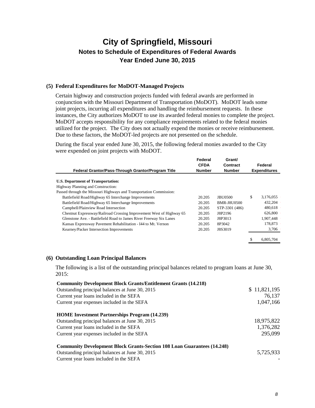#### **(5) Federal Expenditures for MoDOT-Managed Projects**

Certain highway and construction projects funded with federal awards are performed in conjunction with the Missouri Department of Transportation (MoDOT). MoDOT leads some joint projects, incurring all expenditures and handling the reimbursement requests. In these instances, the City authorizes MoDOT to use its awarded federal monies to complete the project. MoDOT accepts responsibility for any compliance requirements related to the federal monies utilized for the project. The City does not actually expend the monies or receive reimbursement. Due to these factors, the MoDOT-led projects are not presented on the schedule.

During the fiscal year ended June 30, 2015, the following federal monies awarded to the City were expended on joint projects with MoDOT.

| Federal Grantor/Pass-Through Grantor/Program Title                   | Federal<br><b>CFDA</b><br><b>Number</b> | Grant/<br>Contract<br><b>Number</b> | Federal<br><b>Expenditures</b> |
|----------------------------------------------------------------------|-----------------------------------------|-------------------------------------|--------------------------------|
|                                                                      |                                         |                                     |                                |
| <b>U.S. Department of Transportation:</b>                            |                                         |                                     |                                |
| Highway Planning and Construction:                                   |                                         |                                     |                                |
| Passed through the Missouri Highways and Transportation Commission:  |                                         |                                     |                                |
| Battlefield Road/Highway 65 Interchange Improvements                 | 20.205                                  | <b>JBU0500</b>                      | \$<br>3,176,055                |
| Battlefield Road/Highway 65 Interchange Improvements                 | 20.205                                  | <b>BMR-J8U0500</b>                  | 432,204                        |
| Campbell/Plainview Road Intersection                                 | 20.205                                  | STP-3301 (486)                      | 480,618                        |
| Chestnut Expressway/Railroad Crossing Improvement West of Highway 65 | 20.205                                  | J8P2196                             | 626,800                        |
| Glenstone Ave. - Battlefield Road to James River Freeway Six Lanes   | 20.205                                  | J8P3013                             | 1,907,448                      |
| Kansas Expressway Pavement Rehabilitation - I44 to Mt. Vernon        | 20.205                                  | 8P3042                              | 178,873                        |
| Kearney/Packer Intersection Improvements                             | 20.205                                  | J8S3019                             | 3,706                          |
|                                                                      |                                         |                                     | \$<br>6.805.704                |

#### **(6) Outstanding Loan Principal Balances**

The following is a list of the outstanding principal balances related to program loans at June 30, 2015:

| <b>Community Development Block Grants/Entitlement Grants (14.218)</b>          |              |
|--------------------------------------------------------------------------------|--------------|
| Outstanding principal balances at June 30, 2015                                | \$11,821,195 |
| Current year loans included in the SEFA                                        | 76,137       |
| Current year expenses included in the SEFA                                     | 1,047,166    |
| <b>HOME</b> Investment Partnerships Program (14.239)                           |              |
| Outstanding principal balances at June 30, 2015                                | 18,975,822   |
| Current year loans included in the SEFA                                        | 1,376,282    |
| Current year expenses included in the SEFA                                     | 295,099      |
| <b>Community Development Block Grants-Section 108 Loan Guarantees (14.248)</b> |              |
| Outstanding principal balances at June 30, 2015                                | 5,725,933    |
| Current year loans included in the SEFA                                        |              |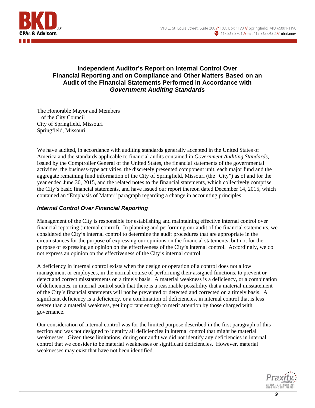



#### **Independent Auditor's Report on Internal Control Over Financial Reporting and on Compliance and Other Matters Based on an Audit of the Financial Statements Performed in Accordance with**  *Government Auditing Standards*

The Honorable Mayor and Members of the City Council City of Springfield, Missouri Springfield, Missouri

We have audited, in accordance with auditing standards generally accepted in the United States of America and the standards applicable to financial audits contained in *Government Auditing Standards*, issued by the Comptroller General of the United States, the financial statements of the governmental activities, the business-type activities, the discretely presented component unit, each major fund and the aggregate remaining fund information of the City of Springfield, Missouri (the "City") as of and for the year ended June 30, 2015, and the related notes to the financial statements, which collectively comprise the City's basic financial statements, and have issued our report thereon dated December 14, 2015, which contained an "Emphasis of Matter" paragraph regarding a change in accounting principles.

#### *Internal Control Over Financial Reporting*

Management of the City is responsible for establishing and maintaining effective internal control over financial reporting (internal control). In planning and performing our audit of the financial statements, we considered the City's internal control to determine the audit procedures that are appropriate in the circumstances for the purpose of expressing our opinions on the financial statements, but not for the purpose of expressing an opinion on the effectiveness of the City's internal control. Accordingly, we do not express an opinion on the effectiveness of the City's internal control.

A deficiency in internal control exists when the design or operation of a control does not allow management or employees, in the normal course of performing their assigned functions, to prevent or detect and correct misstatements on a timely basis. A material weakness is a deficiency, or a combination of deficiencies, in internal control such that there is a reasonable possibility that a material misstatement of the City's financial statements will not be prevented or detected and corrected on a timely basis. A significant deficiency is a deficiency, or a combination of deficiencies, in internal control that is less severe than a material weakness, yet important enough to merit attention by those charged with governance.

Our consideration of internal control was for the limited purpose described in the first paragraph of this section and was not designed to identify all deficiencies in internal control that might be material weaknesses. Given these limitations, during our audit we did not identify any deficiencies in internal control that we consider to be material weaknesses or significant deficiencies. However, material weaknesses may exist that have not been identified.

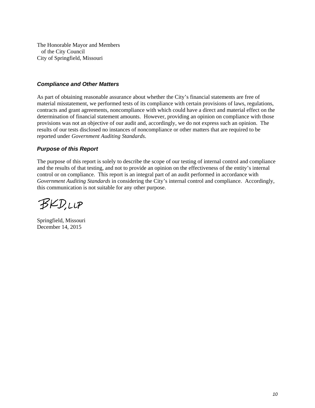The Honorable Mayor and Members of the City Council City of Springfield, Missouri

#### *Compliance and Other Matters*

As part of obtaining reasonable assurance about whether the City's financial statements are free of material misstatement, we performed tests of its compliance with certain provisions of laws, regulations, contracts and grant agreements, noncompliance with which could have a direct and material effect on the determination of financial statement amounts. However, providing an opinion on compliance with those provisions was not an objective of our audit and, accordingly, we do not express such an opinion. The results of our tests disclosed no instances of noncompliance or other matters that are required to be reported under *Government Auditing Standards*.

#### *Purpose of this Report*

The purpose of this report is solely to describe the scope of our testing of internal control and compliance and the results of that testing, and not to provide an opinion on the effectiveness of the entity's internal control or on compliance. This report is an integral part of an audit performed in accordance with *Government Auditing Standards* in considering the City's internal control and compliance. Accordingly, this communication is not suitable for any other purpose.

**BKD,LLP** 

Springfield, Missouri December 14, 2015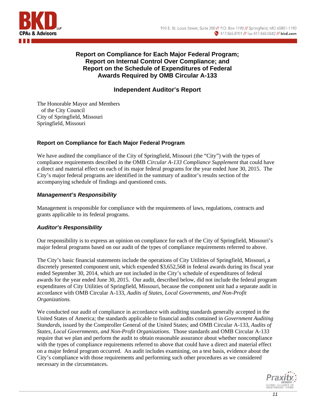

#### **Report on Compliance for Each Major Federal Program; Report on Internal Control Over Compliance; and Report on the Schedule of Expenditures of Federal Awards Required by OMB Circular A-133**

#### **Independent Auditor's Report**

The Honorable Mayor and Members of the City Council City of Springfield, Missouri Springfield, Missouri

#### **Report on Compliance for Each Major Federal Program**

We have audited the compliance of the City of Springfield, Missouri (the "City") with the types of compliance requirements described in the OMB *Circular A-133 Compliance Supplement* that could have a direct and material effect on each of its major federal programs for the year ended June 30, 2015. The City's major federal programs are identified in the summary of auditor's results section of the accompanying schedule of findings and questioned costs.

#### *Management's Responsibility*

Management is responsible for compliance with the requirements of laws, regulations, contracts and grants applicable to its federal programs.

#### *Auditor's Responsibility*

Our responsibility is to express an opinion on compliance for each of the City of Springfield, Missouri's major federal programs based on our audit of the types of compliance requirements referred to above.

The City's basic financial statements include the operations of City Utilities of Springfield, Missouri, a discretely presented component unit, which expended \$3,652,568 in federal awards during its fiscal year ended September 30, 2014, which are not included in the City's schedule of expenditures of federal awards for the year ended June 30, 2015. Our audit, described below, did not include the federal program expenditures of City Utilities of Springfield, Missouri, because the component unit had a separate audit in accordance with OMB Circular A-133, *Audits of States, Local Governments, and Non-Profit Organizations.* 

We conducted our audit of compliance in accordance with auditing standards generally accepted in the United States of America; the standards applicable to financial audits contained in *Government Auditing Standards*, issued by the Comptroller General of the United States; and OMB Circular A-133, *Audits of States, Local Governments, and Non-Profit Organizations*. Those standards and OMB Circular A-133 require that we plan and perform the audit to obtain reasonable assurance about whether noncompliance with the types of compliance requirements referred to above that could have a direct and material effect on a major federal program occurred. An audit includes examining, on a test basis, evidence about the City's compliance with those requirements and performing such other procedures as we considered necessary in the circumstances.

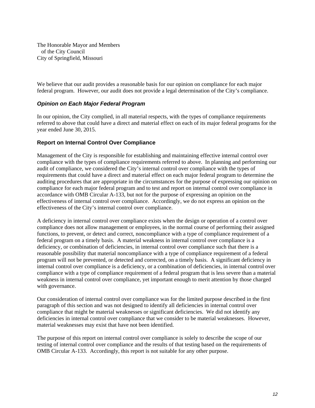The Honorable Mayor and Members of the City Council City of Springfield, Missouri

We believe that our audit provides a reasonable basis for our opinion on compliance for each major federal program. However, our audit does not provide a legal determination of the City's compliance.

#### *Opinion on Each Major Federal Program*

In our opinion, the City complied, in all material respects, with the types of compliance requirements referred to above that could have a direct and material effect on each of its major federal programs for the year ended June 30, 2015.

#### **Report on Internal Control Over Compliance**

Management of the City is responsible for establishing and maintaining effective internal control over compliance with the types of compliance requirements referred to above. In planning and performing our audit of compliance, we considered the City's internal control over compliance with the types of requirements that could have a direct and material effect on each major federal program to determine the auditing procedures that are appropriate in the circumstances for the purpose of expressing our opinion on compliance for each major federal program and to test and report on internal control over compliance in accordance with OMB Circular A-133, but not for the purpose of expressing an opinion on the effectiveness of internal control over compliance. Accordingly, we do not express an opinion on the effectiveness of the City's internal control over compliance.

A deficiency in internal control over compliance exists when the design or operation of a control over compliance does not allow management or employees, in the normal course of performing their assigned functions, to prevent, or detect and correct, noncompliance with a type of compliance requirement of a federal program on a timely basis. A material weakness in internal control over compliance is a deficiency, or combination of deficiencies, in internal control over compliance such that there is a reasonable possibility that material noncompliance with a type of compliance requirement of a federal program will not be prevented, or detected and corrected, on a timely basis. A significant deficiency in internal control over compliance is a deficiency, or a combination of deficiencies, in internal control over compliance with a type of compliance requirement of a federal program that is less severe than a material weakness in internal control over compliance, yet important enough to merit attention by those charged with governance.

Our consideration of internal control over compliance was for the limited purpose described in the first paragraph of this section and was not designed to identify all deficiencies in internal control over compliance that might be material weaknesses or significant deficiencies. We did not identify any deficiencies in internal control over compliance that we consider to be material weaknesses. However, material weaknesses may exist that have not been identified.

The purpose of this report on internal control over compliance is solely to describe the scope of our testing of internal control over compliance and the results of that testing based on the requirements of OMB Circular A-133. Accordingly, this report is not suitable for any other purpose.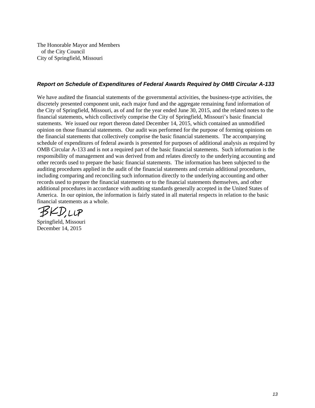The Honorable Mayor and Members of the City Council City of Springfield, Missouri

#### *Report on Schedule of Expenditures of Federal Awards Required by OMB Circular A-133*

We have audited the financial statements of the governmental activities, the business-type activities, the discretely presented component unit, each major fund and the aggregate remaining fund information of the City of Springfield, Missouri, as of and for the year ended June 30, 2015, and the related notes to the financial statements, which collectively comprise the City of Springfield, Missouri's basic financial statements. We issued our report thereon dated December 14, 2015, which contained an unmodified opinion on those financial statements. Our audit was performed for the purpose of forming opinions on the financial statements that collectively comprise the basic financial statements. The accompanying schedule of expenditures of federal awards is presented for purposes of additional analysis as required by OMB Circular A-133 and is not a required part of the basic financial statements. Such information is the responsibility of management and was derived from and relates directly to the underlying accounting and other records used to prepare the basic financial statements. The information has been subjected to the auditing procedures applied in the audit of the financial statements and certain additional procedures, including comparing and reconciling such information directly to the underlying accounting and other records used to prepare the financial statements or to the financial statements themselves, and other additional procedures in accordance with auditing standards generally accepted in the United States of America. In our opinion, the information is fairly stated in all material respects in relation to the basic financial statements as a whole.

**BKD,LLP** 

Springfield, Missouri December 14, 2015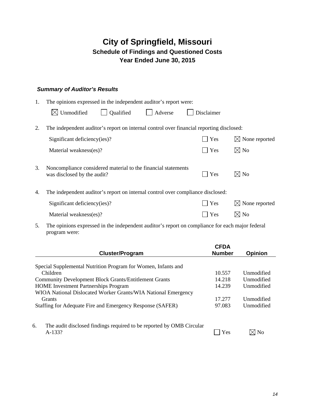#### *Summary of Auditor's Results*

| 1. | The opinions expressed in the independent auditor's report were:                             |            |                           |
|----|----------------------------------------------------------------------------------------------|------------|---------------------------|
|    | Unmodified<br>Qualified<br>Adverse                                                           | Disclaimer |                           |
| 2. | The independent auditor's report on internal control over financial reporting disclosed:     |            |                           |
|    | Significant deficiency(ies)?                                                                 | Yes        | $\boxtimes$ None reported |
|    | Material weakness(es)?                                                                       | Yes        | $\boxtimes$ No            |
| 3. | Noncompliance considered material to the financial statements<br>was disclosed by the audit? | Yes        | $\boxtimes$ No            |
| 4. | The independent auditor's report on internal control over compliance disclosed:              |            |                           |
|    | Significant deficiency(ies)?                                                                 | Yes        | $\boxtimes$ None reported |
|    | Material weakness(es)?                                                                       | Yes        | $\boxtimes$ No            |
|    |                                                                                              |            |                           |

5. The opinions expressed in the independent auditor's report on compliance for each major federal program were:

|                                                                            | <b>CFDA</b>   |                |
|----------------------------------------------------------------------------|---------------|----------------|
| <b>Cluster/Program</b>                                                     | <b>Number</b> | <b>Opinion</b> |
| Special Supplemental Nutrition Program for Women, Infants and              |               |                |
| Children                                                                   | 10.557        | Unmodified     |
| <b>Community Development Block Grants/Entitlement Grants</b>               | 14.218        | Unmodified     |
| <b>HOME</b> Investment Partnerships Program                                | 14.239        | Unmodified     |
| WIOA National Dislocated Worker Grants/WIA National Emergency              |               |                |
| <b>Grants</b>                                                              | 17.277        | Unmodified     |
| Staffing for Adequate Fire and Emergency Response (SAFER)                  | 97.083        | Unmodified     |
| б.<br>The audit disclosed findings required to be reported by OMB Circular |               |                |
| $A-133?$                                                                   | Yes           | No             |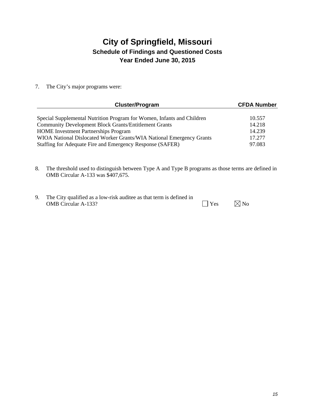7. The City's major programs were:

| <b>Cluster/Program</b>                                                 | <b>CFDA Number</b> |
|------------------------------------------------------------------------|--------------------|
|                                                                        |                    |
| Special Supplemental Nutrition Program for Women, Infants and Children | 10.557             |
| <b>Community Development Block Grants/Entitlement Grants</b>           | 14.218             |
| <b>HOME</b> Investment Partnerships Program                            | 14.239             |
| WIOA National Dislocated Worker Grants/WIA National Emergency Grants   | 17.277             |
| Staffing for Adequate Fire and Emergency Response (SAFER)              | 97.083             |

8. The threshold used to distinguish between Type A and Type B programs as those terms are defined in OMB Circular A-133 was \$407,675.

9. The City qualified as a low-risk auditee as that term is defined in OMB Circular A-133?  $\Box$  Yes  $\Box$  No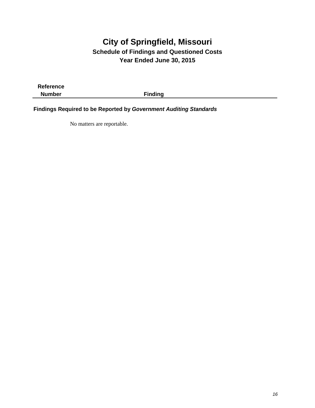**Reference Number** Finding

**Findings Required to be Reported by** *Government Auditing Standards*

No matters are reportable.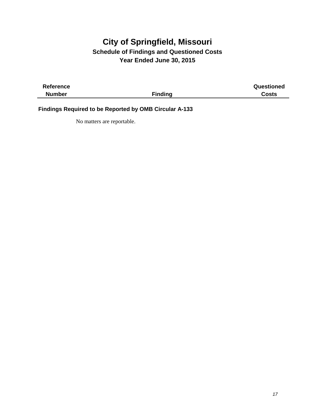| <b>Reference</b> |                | Questioned |
|------------------|----------------|------------|
| <b>Number</b>    | <b>Finding</b> | Costs      |
|                  |                |            |

#### **Findings Required to be Reported by OMB Circular A-133**

No matters are reportable.